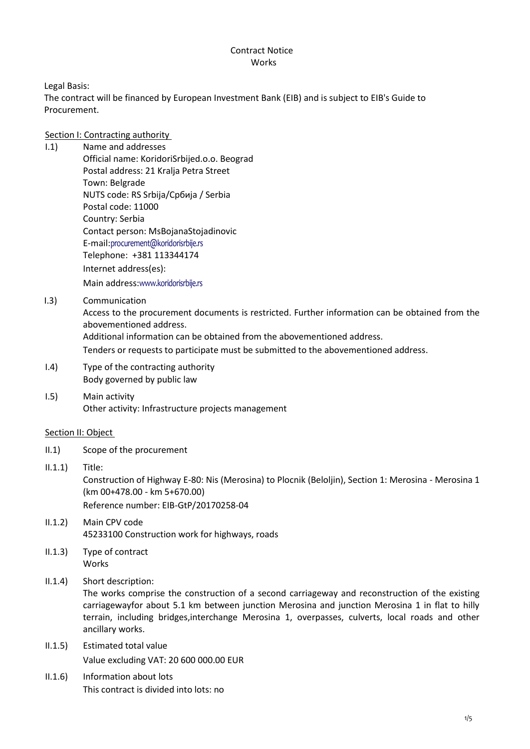## Contract Notice **Works**

Legal Basis:

The contract will be financed by European Investment Bank (EIB) and is subject to EIB's Guide to Procurement.

# Section I: Contracting authority

- I.1) Name and addresses Official name: KoridoriSrbijed.o.o. Beograd Postal address: 21 Kralja Petra Street Town: Belgrade NUTS code: RS Srbija/Сpбија / Serbia Postal code: 11000 Country: Serbia Contact person: MsBojanaStojadinovic E-mail:[procurement@koridorisrbije.rs](mailto:procurement@koridorisrbije.rs) Telephone: +381 113344174 Internet address(es): Main address:[www.koridorisrbije.rs](file:///C:/Users/Administrator/AppData/Local/Temp/Investintech.com%20Inc/PCV/8.0/www.koridorisrbije.rs)
- I.3) Communication

Access to the procurement documents is restricted. Further information can be obtained from the abovementioned address.

Additional information can be obtained from the abovementioned address.

Tenders or requests to participate must be submitted to the abovementioned address.

- I.4) Type of the contracting authority Body governed by public law
- I.5) Main activity Other activity: Infrastructure projects management

## Section II: Object

- II.1) Scope of the procurement
- II.1.1) Title: Construction of Highway E-80: Nis (Merosina) to Plocnik (Beloljin), Section 1: Merosina - Merosina 1 (km 00+478.00 - km 5+670.00) Reference number: EIB-GtP/20170258-04
- II.1.2) Main CPV code 45233100 Construction work for highways, roads
- II.1.3) Type of contract Works
- II.1.4) Short description:

The works comprise the construction of a second carriageway and reconstruction of the existing carriagewayfor about 5.1 km between junction Merosina and junction Merosina 1 in flat to hilly terrain, including bridges,interchange Merosina 1, overpasses, culverts, local roads and other ancillary works.

- II.1.5) Estimated total value Value excluding VAT: 20 600 000.00 EUR
- II.1.6) Information about lots This contract is divided into lots: no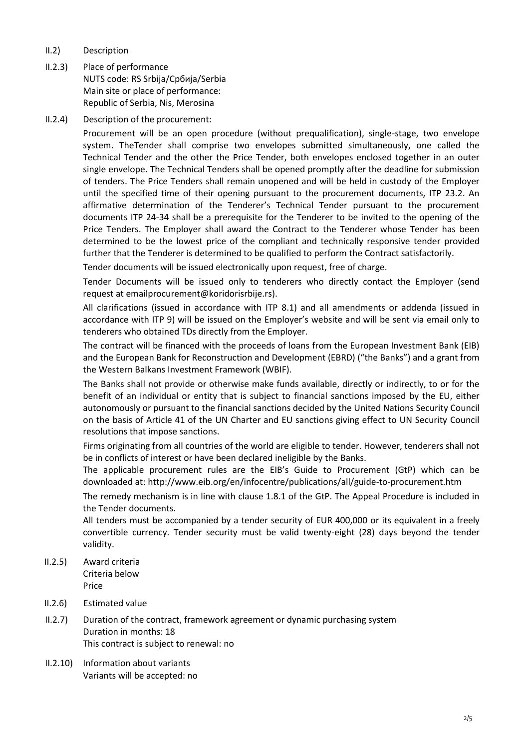- II.2) Description
- II.2.3) Place of performance NUTS code: RS Srbija/Сpбија/Serbia Main site or place of performance: Republic of Serbia, Nis, Merosina
- II.2.4) Description of the procurement:

Procurement will be an open procedure (without prequalification), single-stage, two envelope system. TheTender shall comprise two envelopes submitted simultaneously, one called the Technical Tender and the other the Price Tender, both envelopes enclosed together in an outer single envelope. The Technical Tenders shall be opened promptly after the deadline for submission of tenders. The Price Tenders shall remain unopened and will be held in custody of the Employer until the specified time of their opening pursuant to the procurement documents, ITP 23.2. An affirmative determination of the Tenderer's Technical Tender pursuant to the procurement documents ITP 24-34 shall be a prerequisite for the Tenderer to be invited to the opening of the Price Tenders. The Employer shall award the Contract to the Tenderer whose Tender has been determined to be the lowest price of the compliant and technically responsive tender provided further that the Tenderer is determined to be qualified to perform the Contract satisfactorily.

Tender documents will be issued electronically upon request, free of charge.

Tender Documents will be issued only to tenderers who directly contact the Employer (send request at emai[lprocurement@koridorisrbije.rs\)](mailto:procurement@koridorisrbije.rs).

All clarifications (issued in accordance with ITP 8.1) and all amendments or addenda (issued in accordance with ITP 9) will be issued on the Employer's website and will be sent via email only to tenderers who obtained TDs directly from the Employer.

The contract will be financed with the proceeds of loans from the European Investment Bank (EIB) and the European Bank for Reconstruction and Development (EBRD) ("the Banks") and a grant from the Western Balkans Investment Framework (WBIF).

The Banks shall not provide or otherwise make funds available, directly or indirectly, to or for the benefit of an individual or entity that is subject to financial sanctions imposed by the EU, either autonomously or pursuant to the financial sanctions decided by the United Nations Security Council on the basis of Article 41 of the UN Charter and EU sanctions giving effect to UN Security Council resolutions that impose sanctions.

Firms originating from all countries of the world are eligible to tender. However, tenderers shall not be in conflicts of interest or have been declared ineligible by the Banks.

The applicable procurement rules are the EIB's Guide to Procurement (GtP) which can be downloaded at:<http://www.eib.org/en/infocentre/publications/all/guide-to-procurement.htm>

The remedy mechanism is in line with clause 1.8.1 of the GtP. The Appeal Procedure is included in the Tender documents.

All tenders must be accompanied by a tender security of EUR 400,000 or its equivalent in a freely convertible currency. Tender security must be valid twenty-eight (28) days beyond the tender validity.

- II.2.5) Award criteria Criteria below Price
- II.2.6) Estimated value
- II.2.7) Duration of the contract, framework agreement or dynamic purchasing system Duration in months: 18 This contract is subject to renewal: no
- II.2.10) Information about variants Variants will be accepted: no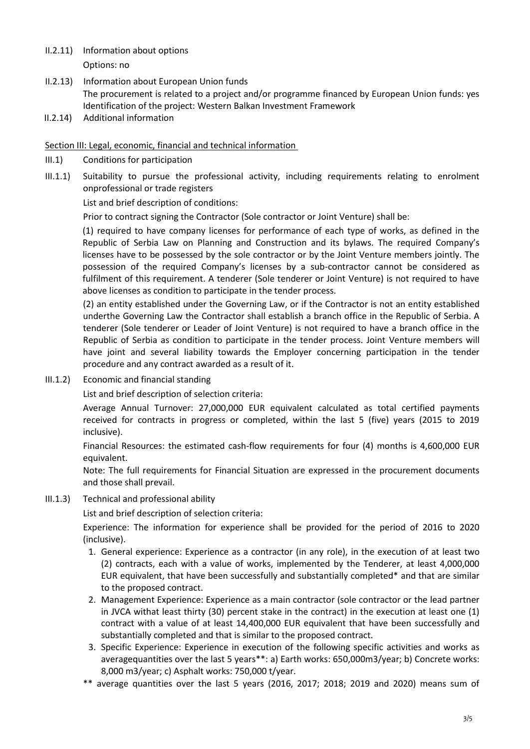- II.2.11) Information about options Options: no
- II.2.13) Information about European Union funds The procurement is related to a project and/or programme financed by European Union funds: yes Identification of the project: Western Balkan Investment Framework
- II.2.14) Additional information

Section III: Legal, economic, financial and technical information

- III.1) Conditions for participation
- III.1.1) Suitability to pursue the professional activity, including requirements relating to enrolment onprofessional or trade registers

List and brief description of conditions:

Prior to contract signing the Contractor (Sole contractor or Joint Venture) shall be:

(1) required to have company licenses for performance of each type of works, as defined in the Republic of Serbia Law on Planning and Construction and its bylaws. The required Company's licenses have to be possessed by the sole contractor or by the Joint Venture members jointly. The possession of the required Company's licenses by a sub-contractor cannot be considered as fulfilment of this requirement. A tenderer (Sole tenderer or Joint Venture) is not required to have above licenses as condition to participate in the tender process.

(2) an entity established under the Governing Law, or if the Contractor is not an entity established underthe Governing Law the Contractor shall establish a branch office in the Republic of Serbia. A tenderer (Sole tenderer or Leader of Joint Venture) is not required to have a branch office in the Republic of Serbia as condition to participate in the tender process. Joint Venture members will have joint and several liability towards the Employer concerning participation in the tender procedure and any contract awarded as a result of it.

III.1.2) Economic and financial standing

List and brief description of selection criteria:

Average Annual Turnover: 27,000,000 EUR equivalent calculated as total certified payments received for contracts in progress or completed, within the last 5 (five) years (2015 to 2019 inclusive).

Financial Resources: the estimated cash-flow requirements for four (4) months is 4,600,000 EUR equivalent.

Note: The full requirements for Financial Situation are expressed in the procurement documents and those shall prevail.

III.1.3) Technical and professional ability

List and brief description of selection criteria:

Experience: The information for experience shall be provided for the period of 2016 to 2020 (inclusive).

- 1. General experience: Experience as a contractor (in any role), in the execution of at least two (2) contracts, each with a value of works, implemented by the Tenderer, at least 4,000,000 EUR equivalent, that have been successfully and substantially completed\* and that are similar to the proposed contract.
- 2. Management Experience: Experience as a main contractor (sole contractor or the lead partner in JVCA withat least thirty (30) percent stake in the contract) in the execution at least one (1) contract with a value of at least 14,400,000 EUR equivalent that have been successfully and substantially completed and that is similar to the proposed contract.
- 3. Specific Experience: Experience in execution of the following specific activities and works as averagequantities over the last 5 years\*\*: a) Earth works: 650,000m3/year; b) Concrete works: 8,000 m3/year; c) Asphalt works: 750,000 t/year.
- \*\* average quantities over the last 5 years (2016, 2017; 2018; 2019 and 2020) means sum of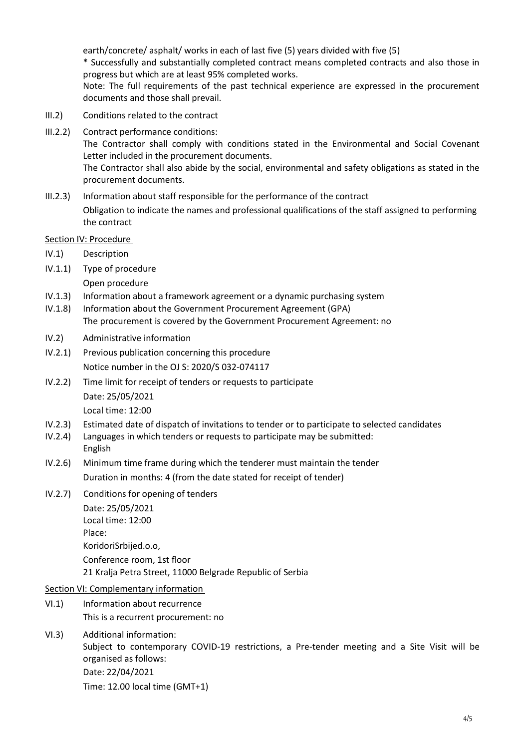earth/concrete/ asphalt/ works in each of last five (5) years divided with five (5) \* Successfully and substantially completed contract means completed contracts and also those in progress but which are at least 95% completed works.

Note: The full requirements of the past technical experience are expressed in the procurement documents and those shall prevail.

- III.2) Conditions related to the contract
- III.2.2) Contract performance conditions: The Contractor shall comply with conditions stated in the Environmental and Social Covenant Letter included in the procurement documents. The Contractor shall also abide by the social, environmental and safety obligations as stated in the procurement documents.
- III.2.3) Information about staff responsible for the performance of the contract Obligation to indicate the names and professional qualifications of the staff assigned to performing the contract

#### Section IV: Procedure

- IV.1) Description
- IV.1.1) Type of procedure
	- Open procedure
- IV.1.3) Information about a framework agreement or a dynamic purchasing system
- IV.1.8) Information about the Government Procurement Agreement (GPA) The procurement is covered by the Government Procurement Agreement: no
- IV.2) Administrative information
- IV.2.1) Previous publication concerning this procedure Notice number in the OJ S: [2020/S 032-074117](http://ted.europa.eu/udl?uri=TED:NOTICE:74117-2020:TEXT:EN:HTML)
- IV.2.2) Time limit for receipt of tenders or requests to participate Date: 25/05/2021 Local time: 12:00
- IV.2.3) Estimated date of dispatch of invitations to tender or to participate to selected candidates
- IV.2.4) Languages in which tenders or requests to participate may be submitted: English
- IV.2.6) Minimum time frame during which the tenderer must maintain the tender Duration in months: 4 (from the date stated for receipt of tender)
- IV.2.7) Conditions for opening of tenders Date: 25/05/2021 Local time: 12:00 Place: KoridoriSrbijed.o.o, Conference room, 1st floor
	- 21 Kralja Petra Street, 11000 Belgrade Republic of Serbia

#### Section VI: Complementary information

- VI.1) Information about recurrence This is a recurrent procurement: no
- VI.3) Additional information: Subject to contemporary COVID-19 restrictions, a Pre-tender meeting and a Site Visit will be

organised as follows: Date: 22/04/2021

Time: 12.00 local time (GMT+1)